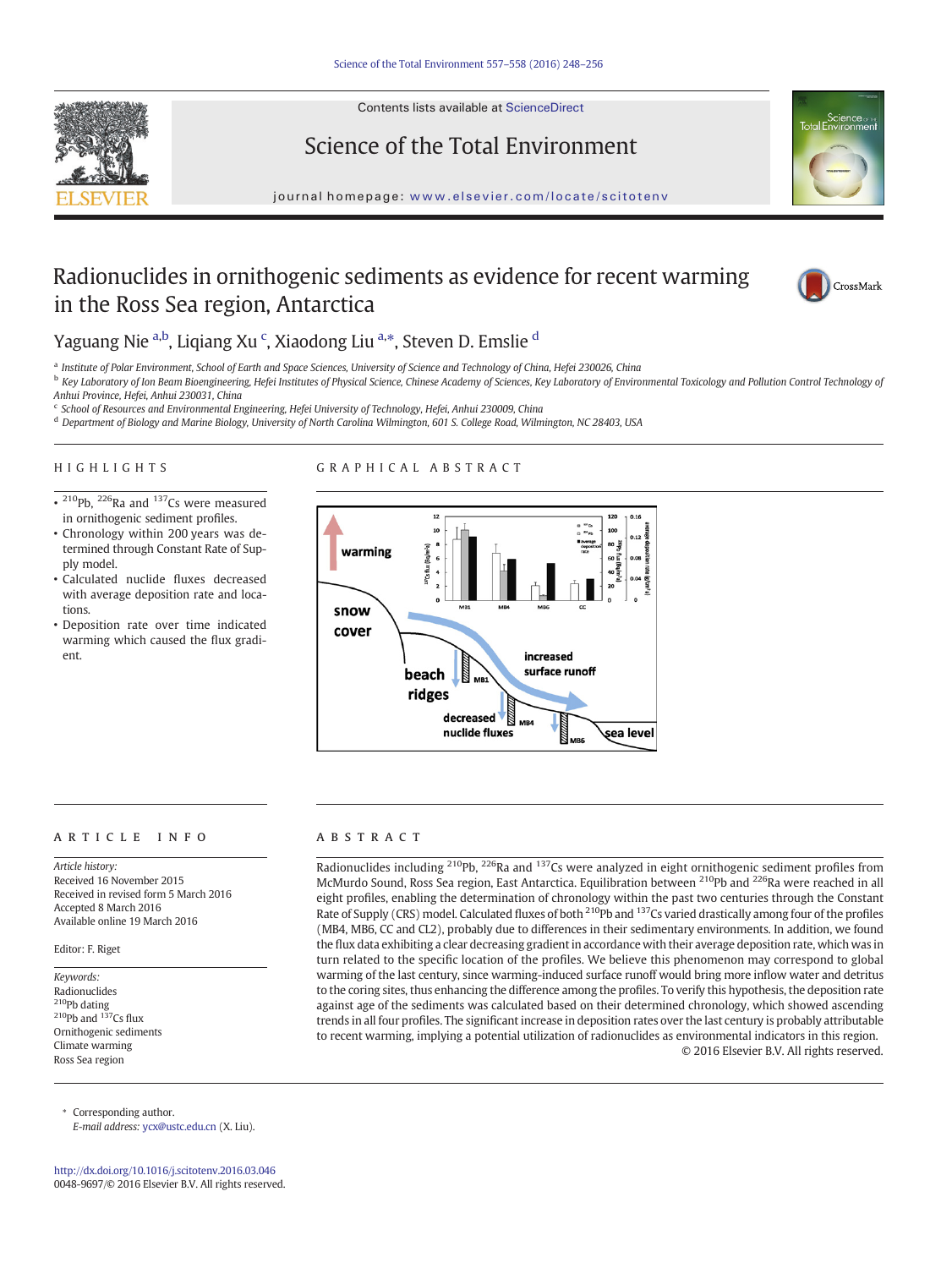Contents lists available at ScienceDirect







# Radionuclides in ornithogenic sediments as evidence for recent warming in the Ross Sea region, Antarctica



# Yaguang Nie <sup>a,b</sup>, Liqiang Xu <sup>c</sup>, Xiaodong Liu <sup>a,</sup>\*, Steven D. Emslie <sup>d</sup>

<sup>a</sup> Institute of Polar Environment, School of Earth and Space Sciences, University of Science and Technology of China, Hefei 230026, China

- <sup>b</sup> Key Laboratory of Ion Beam Bioengineering, Hefei Institutes of Physical Science, Chinese Academy of Sciences, Key Laboratory of Environmental Toxicology and Pollution Control Technology of Anhui Province, Hefei, Anhui 230031, China
- <sup>c</sup> School of Resources and Environmental Engineering, Hefei University of Technology, Hefei, Anhui 230009, China
- <sup>d</sup> Department of Biology and Marine Biology, University of North Carolina Wilmington, 601 S. College Road, Wilmington, NC 28403, USA

# HIGHLIGHTS

# GRAPHICAL ABSTRACT

- $\overline{\bullet}$  <sup>210</sup>Pb, <sup>226</sup>Ra and <sup>137</sup>Cs were measured in ornithogenic sediment profiles.
- Chronology within 200 years was determined through Constant Rate of Supply model.
- Calculated nuclide fluxes decreased with average deposition rate and locations.
- Deposition rate over time indicated warming which caused the flux gradient.



# article info abstract

Article history: Received 16 November 2015 Received in revised form 5 March 2016 Accepted 8 March 2016 Available online 19 March 2016

Editor: F. Riget

Keywords: Radionuclides <sup>210</sup>Pb dating  $^{210}$ Pb and  $^{137}$ Cs flux Ornithogenic sediments Climate warming Ross Sea region

⁎ Corresponding author. E-mail address: [ycx@ustc.edu.cn](mailto:ycx@ustc.edu.cn) (X. Liu).

<http://dx.doi.org/10.1016/j.scitotenv.2016.03.046> 0048-9697/© 2016 Elsevier B.V. All rights reserved.

Radionuclides including <sup>210</sup>Pb, <sup>226</sup>Ra and <sup>137</sup>Cs were analyzed in eight ornithogenic sediment profiles from McMurdo Sound, Ross Sea region, East Antarctica. Equilibration between <sup>210</sup>Pb and <sup>226</sup>Ra were reached in all eight profiles, enabling the determination of chronology within the past two centuries through the Constant Rate of Supply (CRS) model. Calculated fluxes of both <sup>210</sup>Pb and <sup>137</sup>Cs varied drastically among four of the profiles (MB4, MB6, CC and CL2), probably due to differences in their sedimentary environments. In addition, we found the flux data exhibiting a clear decreasing gradient in accordance with their average deposition rate, which was in turn related to the specific location of the profiles. We believe this phenomenon may correspond to global warming of the last century, since warming-induced surface runoff would bring more inflow water and detritus to the coring sites, thus enhancing the difference among the profiles. To verify this hypothesis, the deposition rate against age of the sediments was calculated based on their determined chronology, which showed ascending trends in all four profiles. The significant increase in deposition rates over the last century is probably attributable to recent warming, implying a potential utilization of radionuclides as environmental indicators in this region. © 2016 Elsevier B.V. All rights reserved.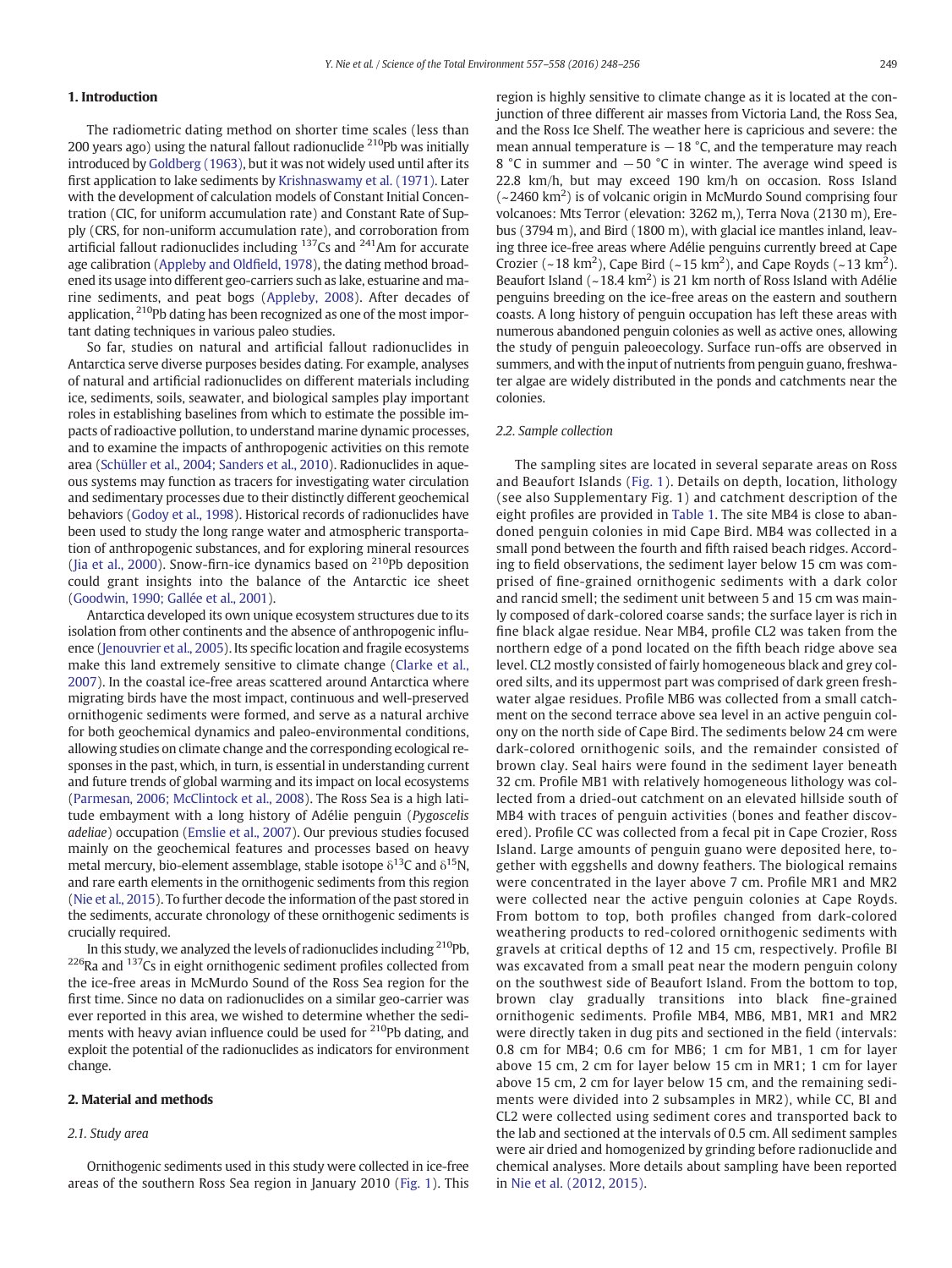# 1. Introduction

The radiometric dating method on shorter time scales (less than 200 years ago) using the natural fallout radionuclide <sup>210</sup>Pb was initially introduced by [Goldberg \(1963\)](#page-8-0), but it was not widely used until after its first application to lake sediments by [Krishnaswamy et al. \(1971\)](#page-8-0). Later with the development of calculation models of Constant Initial Concentration (CIC, for uniform accumulation rate) and Constant Rate of Supply (CRS, for non-uniform accumulation rate), and corroboration from artificial fallout radionuclides including 137Cs and 241Am for accurate age calibration ([Appleby and Old](#page-8-0)field, 1978), the dating method broadened its usage into different geo-carriers such as lake, estuarine and marine sediments, and peat bogs ([Appleby, 2008\)](#page-8-0). After decades of application, <sup>210</sup>Pb dating has been recognized as one of the most important dating techniques in various paleo studies.

So far, studies on natural and artificial fallout radionuclides in Antarctica serve diverse purposes besides dating. For example, analyses of natural and artificial radionuclides on different materials including ice, sediments, soils, seawater, and biological samples play important roles in establishing baselines from which to estimate the possible impacts of radioactive pollution, to understand marine dynamic processes, and to examine the impacts of anthropogenic activities on this remote area [\(Schüller et al., 2004; Sanders et al., 2010\)](#page-8-0). Radionuclides in aqueous systems may function as tracers for investigating water circulation and sedimentary processes due to their distinctly different geochemical behaviors ([Godoy et al., 1998](#page-8-0)). Historical records of radionuclides have been used to study the long range water and atmospheric transportation of anthropogenic substances, and for exploring mineral resources [\(Jia et al., 2000](#page-8-0)). Snow-firn-ice dynamics based on  $^{210}$ Pb deposition could grant insights into the balance of the Antarctic ice sheet [\(Goodwin, 1990; Gallée et al., 2001\)](#page-8-0).

Antarctica developed its own unique ecosystem structures due to its isolation from other continents and the absence of anthropogenic influence [\(Jenouvrier et al., 2005\)](#page-8-0). Its specific location and fragile ecosystems make this land extremely sensitive to climate change ([Clarke et al.,](#page-8-0) [2007\)](#page-8-0). In the coastal ice-free areas scattered around Antarctica where migrating birds have the most impact, continuous and well-preserved ornithogenic sediments were formed, and serve as a natural archive for both geochemical dynamics and paleo-environmental conditions, allowing studies on climate change and the corresponding ecological responses in the past, which, in turn, is essential in understanding current and future trends of global warming and its impact on local ecosystems [\(Parmesan, 2006; McClintock et al., 2008](#page-8-0)). The Ross Sea is a high latitude embayment with a long history of Adélie penguin (Pygoscelis adeliae) occupation ([Emslie et al., 2007](#page-8-0)). Our previous studies focused mainly on the geochemical features and processes based on heavy metal mercury, bio-element assemblage, stable isotope  $\delta^{13}C$  and  $\delta^{15}N$ , and rare earth elements in the ornithogenic sediments from this region [\(Nie et al., 2015](#page-8-0)). To further decode the information of the past stored in the sediments, accurate chronology of these ornithogenic sediments is crucially required.

In this study, we analyzed the levels of radionuclides including  $210Pb$ ,  $226$ Ra and  $137$ Cs in eight ornithogenic sediment profiles collected from the ice-free areas in McMurdo Sound of the Ross Sea region for the first time. Since no data on radionuclides on a similar geo-carrier was ever reported in this area, we wished to determine whether the sediments with heavy avian influence could be used for <sup>210</sup>Pb dating, and exploit the potential of the radionuclides as indicators for environment change.

# 2. Material and methods

# 2.1. Study area

Ornithogenic sediments used in this study were collected in ice-free areas of the southern Ross Sea region in January 2010 [\(Fig. 1](#page-2-0)). This region is highly sensitive to climate change as it is located at the conjunction of three different air masses from Victoria Land, the Ross Sea, and the Ross Ice Shelf. The weather here is capricious and severe: the mean annual temperature is  $-18$  °C, and the temperature may reach 8 °C in summer and −50 °C in winter. The average wind speed is 22.8 km/h, but may exceed 190 km/h on occasion. Ross Island (~2460 km2 ) is of volcanic origin in McMurdo Sound comprising four volcanoes: Mts Terror (elevation: 3262 m,), Terra Nova (2130 m), Erebus (3794 m), and Bird (1800 m), with glacial ice mantles inland, leaving three ice-free areas where Adélie penguins currently breed at Cape Crozier (~18 km<sup>2</sup>), Cape Bird (~15 km<sup>2</sup>), and Cape Royds (~13 km<sup>2</sup>). Beaufort Island  $\left(\sim 18.4 \text{ km}^2\right)$  is 21 km north of Ross Island with Adélie penguins breeding on the ice-free areas on the eastern and southern coasts. A long history of penguin occupation has left these areas with numerous abandoned penguin colonies as well as active ones, allowing the study of penguin paleoecology. Surface run-offs are observed in summers, and with the input of nutrients from penguin guano, freshwater algae are widely distributed in the ponds and catchments near the colonies.

#### 2.2. Sample collection

The sampling sites are located in several separate areas on Ross and Beaufort Islands [\(Fig. 1\)](#page-2-0). Details on depth, location, lithology (see also Supplementary Fig. 1) and catchment description of the eight profiles are provided in [Table 1](#page-2-0). The site MB4 is close to abandoned penguin colonies in mid Cape Bird. MB4 was collected in a small pond between the fourth and fifth raised beach ridges. According to field observations, the sediment layer below 15 cm was comprised of fine-grained ornithogenic sediments with a dark color and rancid smell; the sediment unit between 5 and 15 cm was mainly composed of dark-colored coarse sands; the surface layer is rich in fine black algae residue. Near MB4, profile CL2 was taken from the northern edge of a pond located on the fifth beach ridge above sea level. CL2 mostly consisted of fairly homogeneous black and grey colored silts, and its uppermost part was comprised of dark green freshwater algae residues. Profile MB6 was collected from a small catchment on the second terrace above sea level in an active penguin colony on the north side of Cape Bird. The sediments below 24 cm were dark-colored ornithogenic soils, and the remainder consisted of brown clay. Seal hairs were found in the sediment layer beneath 32 cm. Profile MB1 with relatively homogeneous lithology was collected from a dried-out catchment on an elevated hillside south of MB4 with traces of penguin activities (bones and feather discovered). Profile CC was collected from a fecal pit in Cape Crozier, Ross Island. Large amounts of penguin guano were deposited here, together with eggshells and downy feathers. The biological remains were concentrated in the layer above 7 cm. Profile MR1 and MR2 were collected near the active penguin colonies at Cape Royds. From bottom to top, both profiles changed from dark-colored weathering products to red-colored ornithogenic sediments with gravels at critical depths of 12 and 15 cm, respectively. Profile BI was excavated from a small peat near the modern penguin colony on the southwest side of Beaufort Island. From the bottom to top, brown clay gradually transitions into black fine-grained ornithogenic sediments. Profile MB4, MB6, MB1, MR1 and MR2 were directly taken in dug pits and sectioned in the field (intervals: 0.8 cm for MB4; 0.6 cm for MB6; 1 cm for MB1, 1 cm for layer above 15 cm, 2 cm for layer below 15 cm in MR1; 1 cm for layer above 15 cm, 2 cm for layer below 15 cm, and the remaining sediments were divided into 2 subsamples in MR2), while CC, BI and CL2 were collected using sediment cores and transported back to the lab and sectioned at the intervals of 0.5 cm. All sediment samples were air dried and homogenized by grinding before radionuclide and chemical analyses. More details about sampling have been reported in [Nie et al. \(2012, 2015\)](#page-8-0).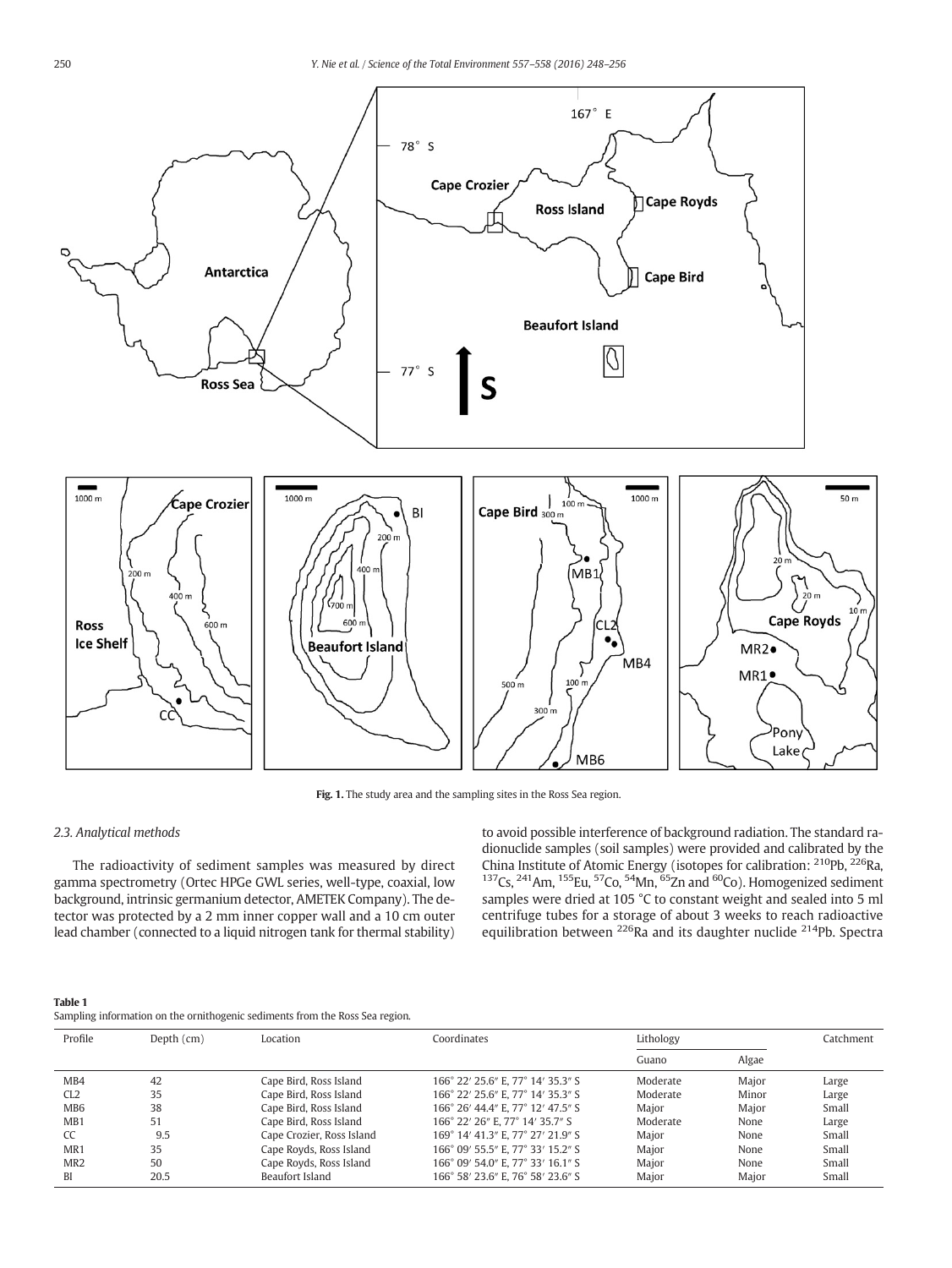<span id="page-2-0"></span>

Fig. 1. The study area and the sampling sites in the Ross Sea region.

#### 2.3. Analytical methods

The radioactivity of sediment samples was measured by direct gamma spectrometry (Ortec HPGe GWL series, well-type, coaxial, low background, intrinsic germanium detector, AMETEK Company). The detector was protected by a 2 mm inner copper wall and a 10 cm outer lead chamber (connected to a liquid nitrogen tank for thermal stability) to avoid possible interference of background radiation. The standard radionuclide samples (soil samples) were provided and calibrated by the China Institute of Atomic Energy (isotopes for calibration: <sup>210</sup>Pb, <sup>226</sup>Ra,  $137$ Cs,  $241$ Am,  $155$ Eu,  $57$ Co,  $54$ Mn,  $65$ Zn and  $60$ Co). Homogenized sediment samples were dried at 105 °C to constant weight and sealed into 5 ml centrifuge tubes for a storage of about 3 weeks to reach radioactive equilibration between <sup>226</sup>Ra and its daughter nuclide <sup>214</sup>Pb. Spectra

| Table 1                                                                      |
|------------------------------------------------------------------------------|
| Sampling information on the ornithogenic sediments from the Ross Sea region. |

| Profile          | Depth $(cm)$ | Location                  | Coordinates                       | Lithology |       | Catchment |
|------------------|--------------|---------------------------|-----------------------------------|-----------|-------|-----------|
|                  |              |                           |                                   | Guano     | Algae |           |
| M <sub>B</sub> 4 | 42           | Cape Bird, Ross Island    | 166° 22' 25.6" E. 77° 14' 35.3" S | Moderate  | Major | Large     |
| CL2              | 35           | Cape Bird, Ross Island    | 166° 22' 25.6" E. 77° 14' 35.3" S | Moderate  | Minor | Large     |
| MB <sub>6</sub>  | 38           | Cape Bird, Ross Island    | 166° 26' 44.4" E. 77° 12' 47.5" S | Maior     | Maior | Small     |
| M <sub>B</sub> 1 | 51           | Cape Bird, Ross Island    | 166° 22' 26" E, 77° 14' 35.7" S   | Moderate  | None  | Large     |
| CC               | 9.5          | Cape Crozier, Ross Island | 169° 14' 41.3" E. 77° 27' 21.9" S | Maior     | None  | Small     |
| MR1              | 35           | Cape Royds, Ross Island   | 166° 09' 55.5" E. 77° 33' 15.2" S | Major     | None  | Small     |
| MR <sub>2</sub>  | 50           | Cape Royds, Ross Island   | 166° 09' 54.0" E. 77° 33' 16.1" S | Maior     | None  | Small     |
| BI               | 20.5         | Beaufort Island           | 166° 58' 23.6" E. 76° 58' 23.6" S | Major     | Major | Small     |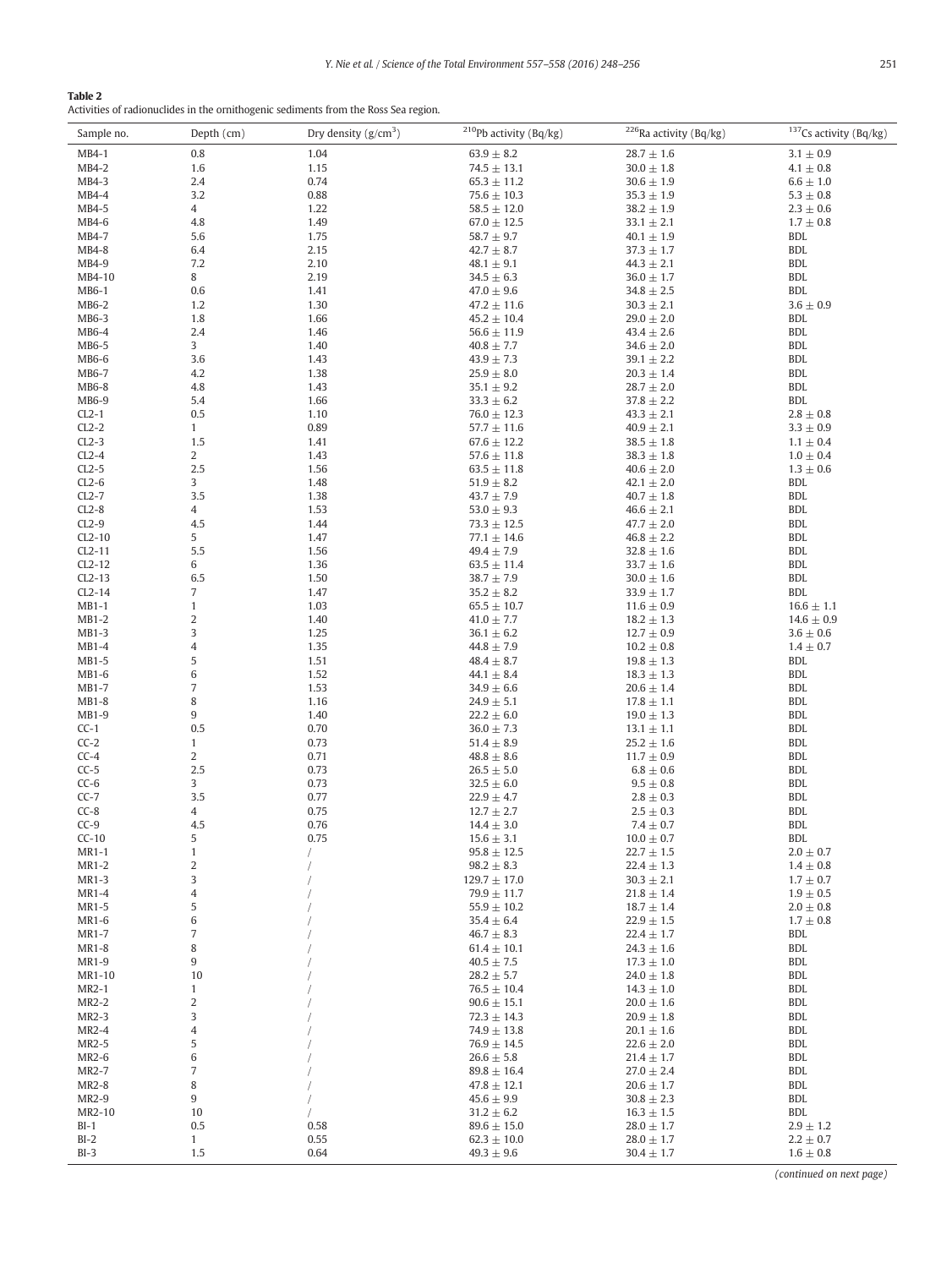<span id="page-3-0"></span>

Activities of radionuclides in the ornithogenic sediments from the Ross Sea region.

| Sample no.          | Depth (cm)                     | Dry density $(g/cm^3)$ | <sup>210</sup> Pb activity (Bq/kg)  | <sup>226</sup> Ra activity (Bq/kg) | <sup>137</sup> Cs activity (Bq/kg) |
|---------------------|--------------------------------|------------------------|-------------------------------------|------------------------------------|------------------------------------|
| MB4-1               | 0.8                            | 1.04                   | $63.9 \pm 8.2$                      | $28.7 \pm 1.6$                     | $3.1 \pm 0.9$                      |
| $MB4-2$             | 1.6                            | 1.15                   | $74.5 \pm 13.1$                     | $30.0 \pm 1.8$                     | $4.1 \pm 0.8$                      |
| MB4-3               | 2.4                            | 0.74                   | $65.3 \pm 11.2$                     | $30.6 \pm 1.9$                     | $6.6 \pm 1.0$                      |
| MB4-4               | 3.2                            | 0.88                   | $75.6 \pm 10.3$                     | $35.3 \pm 1.9$                     | $5.3 \pm 0.8$                      |
| MB4-5               | $\overline{4}$                 | 1.22                   | $58.5 \pm 12.0$                     | $38.2 \pm 1.9$                     | $2.3 \pm 0.6$                      |
| MB4-6               | 4.8                            | 1.49                   | $67.0 \pm 12.5$                     | $33.1 \pm 2.1$                     | $1.7 \pm 0.8$                      |
| MB4-7               | 5.6                            | 1.75                   | $58.7 \pm 9.7$                      | $40.1 \pm 1.9$                     | <b>BDL</b>                         |
| MB4-8               | 6.4                            | 2.15                   | $42.7 \pm 8.7$                      | $37.3 \pm 1.7$                     | <b>BDL</b>                         |
| MB4-9<br>MB4-10     | 7.2<br>8                       | 2.10<br>2.19           | $48.1 \pm 9.1$<br>$34.5 \pm 6.3$    | $44.3 \pm 2.1$<br>$36.0 \pm 1.7$   | <b>BDL</b><br><b>BDL</b>           |
| MB6-1               | 0.6                            | 1.41                   | $47.0 \pm 9.6$                      | $34.8 \pm 2.5$                     | <b>BDL</b>                         |
| MB6-2               | 1.2                            | 1.30                   | $47.2 \pm 11.6$                     | $30.3 \pm 2.1$                     | $3.6 \pm 0.9$                      |
| MB6-3               | 1.8                            | 1.66                   | $45.2 \pm 10.4$                     | $29.0 \pm 2.0$                     | <b>BDL</b>                         |
| MB6-4               | 2.4                            | 1.46                   | $56.6 \pm 11.9$                     | $43.4 \pm 2.6$                     | <b>BDL</b>                         |
| MB6-5               | 3                              | 1.40                   | $40.8 \pm 7.7$                      | $34.6 \pm 2.0$                     | <b>BDL</b>                         |
| MB6-6               | 3.6                            | 1.43                   | $43.9 \pm 7.3$                      | $39.1 \pm 2.2$                     | <b>BDL</b>                         |
| MB6-7               | 4.2                            | 1.38                   | $25.9 \pm 8.0$                      | $20.3 \pm 1.4$                     | <b>BDL</b>                         |
| MB6-8               | 4.8                            | 1.43                   | $35.1 \pm 9.2$                      | $28.7 \pm 2.0$                     | <b>BDL</b>                         |
| MB6-9               | 5.4                            | 1.66                   | $33.3 \pm 6.2$                      | $37.8 \pm 2.2$                     | <b>BDL</b>                         |
| $CL2-1$             | 0.5                            | 1.10                   | $76.0 \pm 12.3$                     | $43.3 \pm 2.1$                     | $2.8 \pm 0.8$                      |
| $CL2-2$<br>$CL2-3$  | $\mathbf{1}$<br>1.5            | 0.89<br>1.41           | $57.7 \pm 11.6$<br>$67.6 \pm 12.2$  | $40.9 \pm 2.1$<br>$38.5 \pm 1.8$   | $3.3 \pm 0.9$<br>$1.1 \pm 0.4$     |
| $CL2-4$             | $\overline{2}$                 | 1.43                   | $57.6 \pm 11.8$                     | $38.3 \pm 1.8$                     | $1.0 \pm 0.4$                      |
| $CL2-5$             | 2.5                            | 1.56                   | $63.5 \pm 11.8$                     | $40.6 \pm 2.0$                     | $1.3 \pm 0.6$                      |
| $CL2-6$             | 3                              | 1.48                   | $51.9 \pm 8.2$                      | $42.1 \pm 2.0$                     | <b>BDL</b>                         |
| $CL2-7$             | 3.5                            | 1.38                   | $43.7 \pm 7.9$                      | $40.7 \pm 1.8$                     | <b>BDL</b>                         |
| $CL2-8$             | $\overline{4}$                 | 1.53                   | $53.0 \pm 9.3$                      | $46.6 \pm 2.1$                     | <b>BDL</b>                         |
| $CL2-9$             | 4.5                            | 1.44                   | $73.3 \pm 12.5$                     | $47.7 \pm 2.0$                     | <b>BDL</b>                         |
| $CL2-10$            | 5                              | 1.47                   | $77.1 \pm 14.6$                     | $46.8 \pm 2.2$                     | <b>BDL</b>                         |
| $CL2-11$            | 5.5                            | 1.56                   | $49.4 \pm 7.9$                      | $32.8 \pm 1.6$                     | <b>BDL</b>                         |
| $CL2-12$            | 6                              | 1.36                   | $63.5 \pm 11.4$                     | $33.7 \pm 1.6$                     | <b>BDL</b>                         |
| $CL2-13$            | 6.5                            | 1.50<br>1.47           | $38.7 \pm 7.9$                      | $30.0 \pm 1.6$                     | <b>BDL</b><br><b>BDL</b>           |
| $CL2-14$<br>$MB1-1$ | $\sqrt{7}$<br>$\mathbf{1}$     | 1.03                   | $35.2 \pm 8.2$<br>$65.5 \pm 10.7$   | $33.9 \pm 1.7$<br>$11.6 \pm 0.9$   | $16.6 \pm 1.1$                     |
| $MB1-2$             | $\sqrt{2}$                     | 1.40                   | $41.0 \pm 7.7$                      | $18.2 \pm 1.3$                     | $14.6 \pm 0.9$                     |
| $MB1-3$             | 3                              | 1.25                   | $36.1 \pm 6.2$                      | $12.7 \pm 0.9$                     | $3.6 \pm 0.6$                      |
| $MB1-4$             | $\sqrt{4}$                     | 1.35                   | $44.8 \pm 7.9$                      | $10.2 \pm 0.8$                     | $1.4 \pm 0.7$                      |
| MB1-5               | 5                              | 1.51                   | $48.4 \pm 8.7$                      | $19.8 \pm 1.3$                     | <b>BDL</b>                         |
| MB1-6               | $\,6$                          | 1.52                   | $44.1 \pm 8.4$                      | $18.3 \pm 1.3$                     | <b>BDL</b>                         |
| MB1-7               | $\sqrt{ }$                     | 1.53                   | $34.9 \pm 6.6$                      | $20.6 \pm 1.4$                     | <b>BDL</b>                         |
| MB1-8               | 8                              | 1.16                   | $24.9 \pm 5.1$                      | $17.8 \pm 1.1$                     | <b>BDL</b>                         |
| MB1-9               | 9                              | 1.40                   | $22.2 \pm 6.0$                      | $19.0 \pm 1.3$                     | <b>BDL</b>                         |
| $CC-1$              | 0.5                            | 0.70                   | $36.0 \pm 7.3$                      | $13.1 \pm 1.1$                     | <b>BDL</b>                         |
| $CC-2$<br>$CC-4$    | $\mathbf{1}$<br>$\overline{c}$ | 0.73<br>0.71           | $51.4 \pm 8.9$<br>$48.8 \pm 8.6$    | $25.2 \pm 1.6$<br>$11.7 \pm 0.9$   | <b>BDL</b><br><b>BDL</b>           |
| $CC-5$              | 2.5                            | 0.73                   | $26.5 \pm 5.0$                      | $6.8 \pm 0.6$                      | <b>BDL</b>                         |
| $CC-6$              | 3                              | 0.73                   | $32.5 \pm 6.0$                      | $9.5 \pm 0.8$                      | <b>BDL</b>                         |
| $CC-7$              | 3.5                            | 0.77                   | $22.9 \pm 4.7$                      | $2.8 \pm 0.3$                      | <b>BDL</b>                         |
| $CC-8$              | 4                              | 0.75                   | $12.7 \pm 2.7$                      | $2.5 \pm 0.3$                      | <b>BDL</b>                         |
| $CC-9$              | 4.5                            | 0.76                   | $14.4 \pm 3.0$                      | $7.4 \pm 0.7$                      | <b>BDL</b>                         |
| $CC-10$             | 5                              | 0.75                   | $15.6 \pm 3.1$                      | $10.0 \pm 0.7$                     | BDL                                |
| MR1-1               | $\mathbf{1}$                   |                        | $95.8 \pm 12.5$                     | $22.7 \pm 1.5$                     | $2.0 \pm 0.7$                      |
| MR1-2               | $\sqrt{2}$                     |                        | $98.2 \pm 8.3$                      | $22.4 \pm 1.3$                     | $1.4 \pm 0.8$                      |
| MR1-3<br>MR1-4      | 3<br>4                         |                        | $129.7 \pm 17.0$<br>$79.9 \pm 11.7$ | $30.3 \pm 2.1$<br>$21.8 \pm 1.4$   | $1.7 \pm 0.7$<br>$1.9 \pm 0.5$     |
| MR1-5               | 5                              |                        | $55.9 \pm 10.2$                     | $18.7 \pm 1.4$                     | $2.0 \pm 0.8$                      |
| MR1-6               | $\,6$                          |                        | $35.4 \pm 6.4$                      | $22.9 \pm 1.5$                     | $1.7 \pm 0.8$                      |
| MR1-7               | 7                              |                        | $46.7 \pm 8.3$                      | $22.4 \pm 1.7$                     | BDL                                |
| MR1-8               | 8                              |                        | $61.4 \pm 10.1$                     | $24.3 \pm 1.6$                     | <b>BDL</b>                         |
| MR1-9               | 9                              |                        | $40.5 \pm 7.5$                      | $17.3 \pm 1.0$                     | BDL                                |
| MR1-10              | 10                             |                        | $28.2 \pm 5.7$                      | $24.0 \pm 1.8$                     | <b>BDL</b>                         |
| MR2-1               | $\mathbf{1}$                   |                        | $76.5 \pm 10.4$                     | $14.3 \pm 1.0$                     | <b>BDL</b>                         |
| MR2-2               | 2                              |                        | $90.6 \pm 15.1$                     | $20.0 \pm 1.6$                     | <b>BDL</b>                         |
| MR2-3               | 3                              |                        | $72.3 \pm 14.3$                     | $20.9 \pm 1.8$                     | BDL                                |
| MR2-4<br>MR2-5      | 4                              |                        | $74.9 \pm 13.8$                     | $20.1 \pm 1.6$                     | <b>BDL</b><br><b>BDL</b>           |
| MR2-6               | 5<br>6                         |                        | $76.9 \pm 14.5$<br>$26.6 \pm 5.8$   | $22.6 \pm 2.0$<br>$21.4 \pm 1.7$   | BDL                                |
| MR2-7               | $\sqrt{ }$                     |                        | $89.8 \pm 16.4$                     | $27.0 \pm 2.4$                     | <b>BDL</b>                         |
| MR2-8               | 8                              |                        | $47.8 \pm 12.1$                     | $20.6 \pm 1.7$                     | BDL                                |
| MR2-9               | 9                              |                        | $45.6 \pm 9.9$                      | $30.8 \pm 2.3$                     | <b>BDL</b>                         |
| MR2-10              | 10                             |                        | $31.2 \pm 6.2$                      | $16.3 \pm 1.5$                     | BDL                                |
| $BI-1$              | 0.5                            | 0.58                   | $89.6 \pm 15.0$                     | $28.0 \pm 1.7$                     | $2.9 \pm 1.2$                      |
| $BI-2$              | $\mathbf{1}$                   | 0.55                   | $62.3 \pm 10.0$                     | $28.0 \pm 1.7$                     | $2.2 \pm 0.7$                      |
| $BI-3$              | 1.5                            | 0.64                   | $49.3 \pm 9.6$                      | $30.4 \pm 1.7$                     | $1.6 \pm 0.8$                      |

(continued on next page)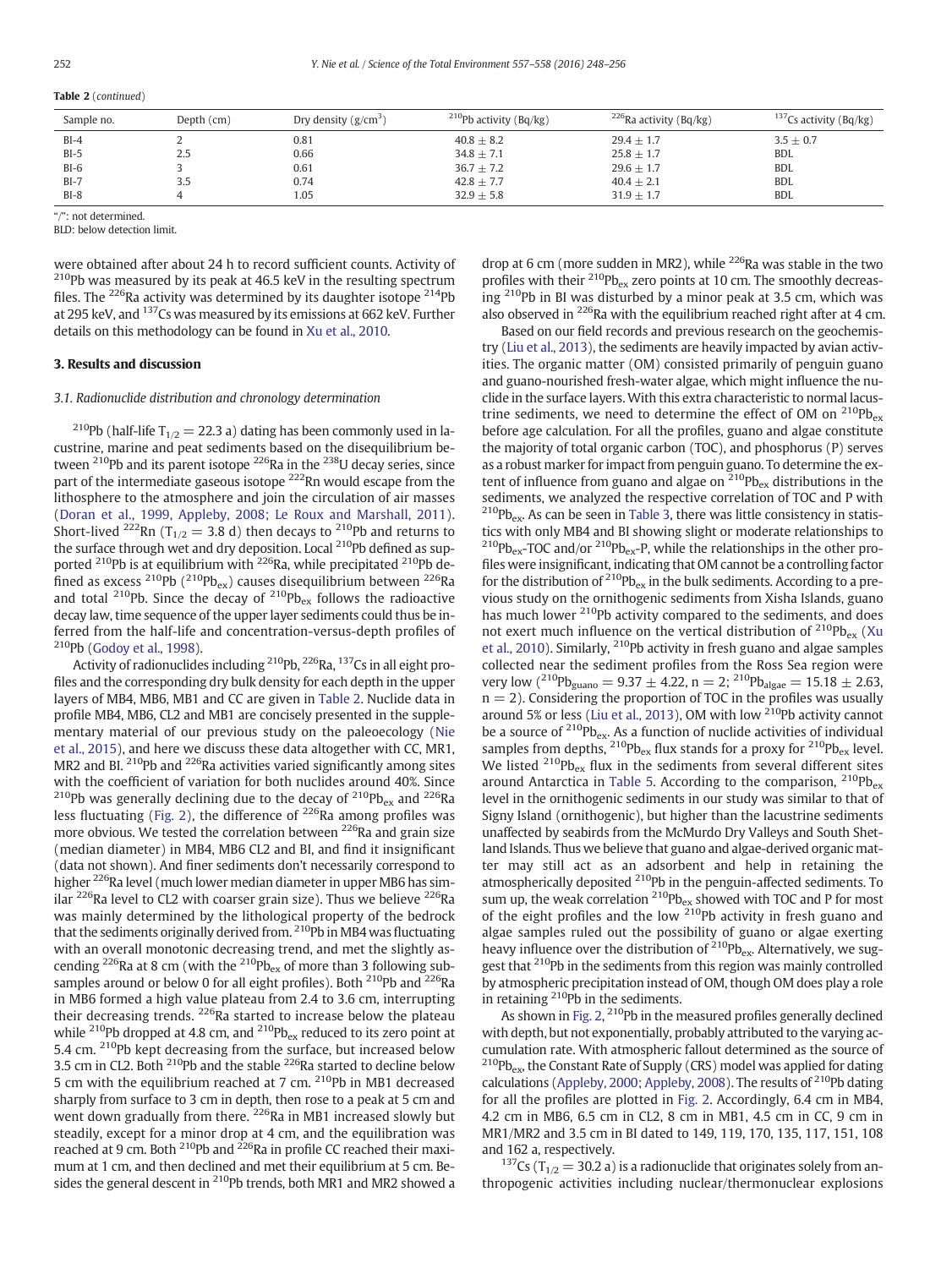|  |  | Table 2 (continued) |
|--|--|---------------------|
|--|--|---------------------|

| Sample no. | Depth $(cm)$ | Dry density $(g/cm^3)$ | <sup>210</sup> Pb activity (Bq/kg) | <sup>226</sup> Ra activity (Bq/kg) | <sup>137</sup> Cs activity (Bq/kg) |
|------------|--------------|------------------------|------------------------------------|------------------------------------|------------------------------------|
| $BI-4$     |              | 0.81                   | $40.8 + 8.2$                       | $29.4 + 1.7$                       | $3.5 + 0.7$                        |
| $BI-5$     | 2.5          | 0.66                   | $34.8 \pm 7.1$                     | $25.8 + 1.7$                       | <b>BDL</b>                         |
| $BI-6$     |              | 0.61                   | $36.7 \pm 7.2$                     | $29.6 \pm 1.7$                     | <b>BDL</b>                         |
| $BI-7$     |              | 0.74                   | $42.8 \pm 7.7$                     | $40.4 + 2.1$                       | <b>BDL</b>                         |
| $BI-8$     |              | 1.05                   | $32.9 + 5.8$                       | $31.9 + 1.7$                       | <b>BDL</b>                         |

": not determined.

BLD: below detection limit.

were obtained after about 24 h to record sufficient counts. Activity of  $^{210}$ Pb was measured by its peak at 46.5 keV in the resulting spectrum files. The <sup>226</sup>Ra activity was determined by its daughter isotope  $^{214}$ Pb at 295 keV, and 137Cs was measured by its emissions at 662 keV. Further details on this methodology can be found in [Xu et al., 2010](#page-8-0).

### 3. Results and discussion

# 3.1. Radionuclide distribution and chronology determination

<sup>210</sup>Pb (half-life T<sub>1/2</sub> = 22.3 a) dating has been commonly used in lacustrine, marine and peat sediments based on the disequilibrium between  $^{210}Pb$  and its parent isotope  $^{226}Ra$  in the  $^{238}U$  decay series, since part of the intermediate gaseous isotope 222Rn would escape from the lithosphere to the atmosphere and join the circulation of air masses [\(Doran et al., 1999, Appleby, 2008; Le Roux and Marshall, 2011](#page-8-0)). Short-lived <sup>222</sup>Rn (T<sub>1/2</sub> = 3.8 d) then decays to <sup>210</sup>Pb and returns to the surface through wet and dry deposition. Local <sup>210</sup>Pb defined as supported <sup>210</sup>Pb is at equilibrium with <sup>226</sup>Ra, while precipitated <sup>210</sup>Pb defined as excess <sup>210</sup>Pb (<sup>210</sup>Pb<sub>ex</sub>) causes disequilibrium between <sup>226</sup>Ra and total  $^{210}$ Pb. Since the decay of  $^{210}$ Pb<sub>ex</sub> follows the radioactive decay law, time sequence of the upper layer sediments could thus be inferred from the half-life and concentration-versus-depth profiles of  $210Pb$  [\(Godoy et al., 1998\)](#page-8-0).

Activity of radionuclides including <sup>210</sup>Pb, <sup>226</sup>Ra, <sup>137</sup>Cs in all eight profiles and the corresponding dry bulk density for each depth in the upper layers of MB4, MB6, MB1 and CC are given in [Table 2.](#page-3-0) Nuclide data in profile MB4, MB6, CL2 and MB1 are concisely presented in the supplementary material of our previous study on the paleoecology [\(Nie](#page-8-0) [et al., 2015](#page-8-0)), and here we discuss these data altogether with CC, MR1, MR2 and BI.  $^{210}Pb$  and  $^{226}Ra$  activities varied significantly among sites with the coefficient of variation for both nuclides around 40%. Since <sup>210</sup>Pb was generally declining due to the decay of <sup>210</sup>Pb<sub>ex</sub> and <sup>226</sup>Ra less fluctuating ([Fig. 2\)](#page-5-0), the difference of  $^{226}$ Ra among profiles was more obvious. We tested the correlation between <sup>226</sup>Ra and grain size (median diameter) in MB4, MB6 CL2 and BI, and find it insignificant (data not shown). And finer sediments don't necessarily correspond to higher <sup>226</sup>Ra level (much lower median diameter in upper MB6 has similar <sup>226</sup>Ra level to CL2 with coarser grain size). Thus we believe <sup>226</sup>Ra was mainly determined by the lithological property of the bedrock that the sediments originally derived from. <sup>210</sup>Pb in MB4 was fluctuating with an overall monotonic decreasing trend, and met the slightly ascending <sup>226</sup>Ra at 8 cm (with the <sup>210</sup>Pb<sub>ex</sub> of more than 3 following subsamples around or below 0 for all eight profiles). Both <sup>210</sup>Pb and <sup>226</sup>Ra in MB6 formed a high value plateau from 2.4 to 3.6 cm, interrupting their decreasing trends. <sup>226</sup>Ra started to increase below the plateau while <sup>210</sup>Pb dropped at 4.8 cm, and <sup>210</sup>Pb<sub>ex</sub> reduced to its zero point at 5.4 cm. <sup>210</sup>Pb kept decreasing from the surface, but increased below 3.5 cm in CL2. Both <sup>210</sup>Pb and the stable <sup>226</sup>Ra started to decline below 5 cm with the equilibrium reached at 7 cm.  $2^{10}Pb$  in MB1 decreased sharply from surface to 3 cm in depth, then rose to a peak at 5 cm and went down gradually from there. <sup>226</sup>Ra in MB1 increased slowly but steadily, except for a minor drop at 4 cm, and the equilibration was reached at 9 cm. Both <sup>210</sup>Pb and <sup>226</sup>Ra in profile CC reached their maximum at 1 cm, and then declined and met their equilibrium at 5 cm. Besides the general descent in <sup>210</sup>Pb trends, both MR1 and MR2 showed a drop at 6 cm (more sudden in MR2), while <sup>226</sup>Ra was stable in the two profiles with their  $^{210}Pb_{ex}$  zero points at 10 cm. The smoothly decreas- $\lim_{h \to 0}$  2<sup>10</sup>Pb in BI was disturbed by a minor peak at 3.5 cm, which was also observed in  $^{226}$ Ra with the equilibrium reached right after at 4 cm.

Based on our field records and previous research on the geochemistry [\(Liu et al., 2013\)](#page-8-0), the sediments are heavily impacted by avian activities. The organic matter (OM) consisted primarily of penguin guano and guano-nourished fresh-water algae, which might influence the nuclide in the surface layers. With this extra characteristic to normal lacustrine sediments, we need to determine the effect of OM on  $^{210}Pb_{ex}$ before age calculation. For all the profiles, guano and algae constitute the majority of total organic carbon (TOC), and phosphorus (P) serves as a robust marker for impact from penguin guano. To determine the extent of influence from guano and algae on  $210P_{\text{Bex}}$  distributions in the sediments, we analyzed the respective correlation of TOC and P with  $^{210}Pb_{ex}$ . As can be seen in [Table 3](#page-5-0), there was little consistency in statistics with only MB4 and BI showing slight or moderate relationships to  $^{210}Pb_{ex}$ -TOC and/or  $^{210}Pb_{ex}$ -P, while the relationships in the other profiles were insignificant, indicating that OM cannot be a controlling factor for the distribution of  $^{210}Pb_{ex}$  in the bulk sediments. According to a previous study on the ornithogenic sediments from Xisha Islands, guano has much lower <sup>210</sup>Pb activity compared to the sediments, and does not exert much influence on the vertical distribution of  $^{210}Pb_{ex}$  ([Xu](#page-8-0) [et al., 2010\)](#page-8-0). Similarly, 210Pb activity in fresh guano and algae samples collected near the sediment profiles from the Ross Sea region were very low  $(^{210}Pb_{\text{guano}} = 9.37 \pm 4.22$ , n = 2;  $^{210}Pb_{\text{algae}} = 15.18 \pm 2.63$ ,  $n = 2$ ). Considering the proportion of TOC in the profiles was usually around 5% or less ([Liu et al., 2013\)](#page-8-0), OM with low 210Pb activity cannot be a source of  $^{210}Pb_{ex}$ . As a function of nuclide activities of individual samples from depths,  $^{210}Pb_{ex}$  flux stands for a proxy for  $^{210}Pb_{ex}$  level. We listed  $^{210}Pb_{ex}$  flux in the sediments from several different sites around Antarctica in [Table 5.](#page-6-0) According to the comparison,  $^{210}Pb_{ex}$ level in the ornithogenic sediments in our study was similar to that of Signy Island (ornithogenic), but higher than the lacustrine sediments unaffected by seabirds from the McMurdo Dry Valleys and South Shetland Islands. Thus we believe that guano and algae-derived organic matter may still act as an adsorbent and help in retaining the atmospherically deposited 210Pb in the penguin-affected sediments. To sum up, the weak correlation  $^{210}Pb_{ex}$  showed with TOC and P for most of the eight profiles and the low  $210Pb$  activity in fresh guano and algae samples ruled out the possibility of guano or algae exerting heavy influence over the distribution of <sup>210</sup>Pb<sub>ex</sub>. Alternatively, we suggest that <sup>210</sup>Pb in the sediments from this region was mainly controlled by atmospheric precipitation instead of OM, though OM does play a role in retaining <sup>210</sup>Pb in the sediments.

As shown in [Fig. 2,](#page-5-0) <sup>210</sup>Pb in the measured profiles generally declined with depth, but not exponentially, probably attributed to the varying accumulation rate. With atmospheric fallout determined as the source of  $^{210}Pb_{ex}$ , the Constant Rate of Supply (CRS) model was applied for dating calculations ([Appleby, 2000; Appleby, 2008](#page-8-0)). The results of  $2^{10}$ Pb dating for all the profiles are plotted in [Fig. 2](#page-5-0). Accordingly, 6.4 cm in MB4, 4.2 cm in MB6, 6.5 cm in CL2, 8 cm in MB1, 4.5 cm in CC, 9 cm in MR1/MR2 and 3.5 cm in BI dated to 149, 119, 170, 135, 117, 151, 108 and 162 a, respectively.

<sup>137</sup>Cs (T<sub>1/2</sub> = 30.2 a) is a radionuclide that originates solely from anthropogenic activities including nuclear/thermonuclear explosions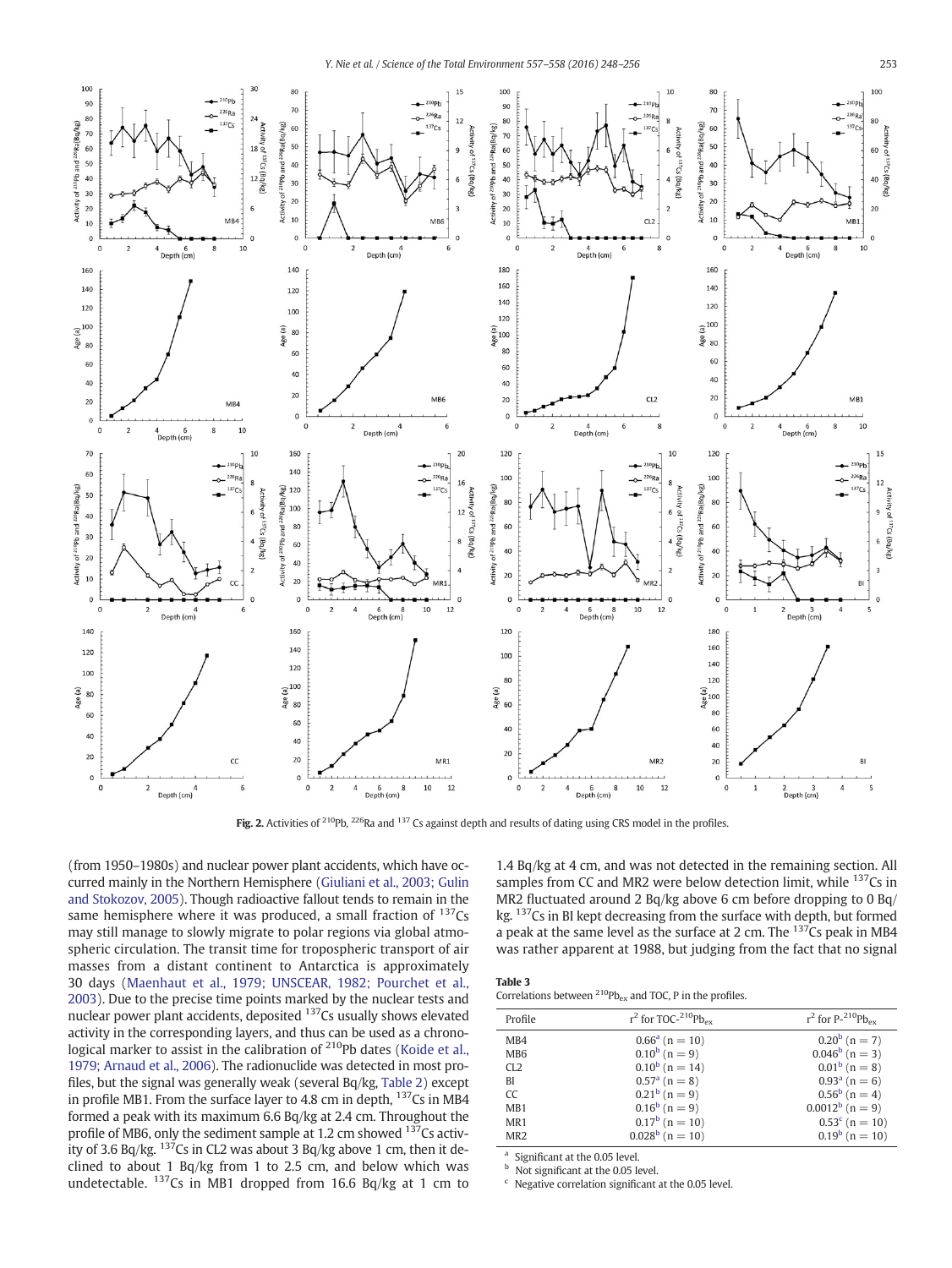<span id="page-5-0"></span>

Fig. 2. Activities of <sup>210</sup>Pb, <sup>226</sup>Ra and <sup>137</sup> Cs against depth and results of dating using CRS model in the profiles.

(from 1950–1980s) and nuclear power plant accidents, which have occurred mainly in the Northern Hemisphere [\(Giuliani et al., 2003; Gulin](#page-8-0) [and Stokozov, 2005\)](#page-8-0). Though radioactive fallout tends to remain in the same hemisphere where it was produced, a small fraction of <sup>137</sup>Cs may still manage to slowly migrate to polar regions via global atmospheric circulation. The transit time for tropospheric transport of air masses from a distant continent to Antarctica is approximately 30 days [\(Maenhaut et al., 1979; UNSCEAR, 1982; Pourchet et al.,](#page-8-0) [2003](#page-8-0)). Due to the precise time points marked by the nuclear tests and nuclear power plant accidents, deposited 137Cs usually shows elevated activity in the corresponding layers, and thus can be used as a chrono-logical marker to assist in the calibration of <sup>210</sup>Pb dates ([Koide et al.,](#page-8-0) [1979; Arnaud et al., 2006\)](#page-8-0). The radionuclide was detected in most profiles, but the signal was generally weak (several Bq/kg, [Table 2](#page-3-0)) except in profile MB1. From the surface layer to 4.8 cm in depth,  $137$ Cs in MB4 formed a peak with its maximum 6.6 Bq/kg at 2.4 cm. Throughout the profile of MB6, only the sediment sample at 1.2 cm showed  $137$ Cs activity of 3.6 Bq/kg.  $137$ Cs in CL2 was about 3 Bq/kg above 1 cm, then it declined to about 1 Bq/kg from 1 to 2.5 cm, and below which was undetectable.  $137Cs$  in MB1 dropped from 16.6 Bq/kg at 1 cm to

1.4 Bq/kg at 4 cm, and was not detected in the remaining section. All samples from CC and MR2 were below detection limit, while <sup>137</sup>Cs in MR2 fluctuated around 2 Bq/kg above 6 cm before dropping to 0 Bq/ kg. 137Cs in BI kept decreasing from the surface with depth, but formed a peak at the same level as the surface at 2 cm. The  $137Cs$  peak in MB4 was rather apparent at 1988, but judging from the fact that no signal

| Table 3                    |  |
|----------------------------|--|
| Completional between 210ph |  |

Correlations between  $^{210}Pb_{ex}$  and TOC, P in the profiles.

| Profile         | $r^2$ for TOC- $^{210}Pb_{\rm ev}$ | $r^2$ for P-210Pb <sub>ey</sub> |
|-----------------|------------------------------------|---------------------------------|
| MB4             | $0.66^a$ (n = 10)                  | $0.20^b$ (n = 7)                |
| MB <sub>6</sub> | $0.10^b$ (n = 9)                   | $0.046^b$ (n = 3)               |
| CI.2            | $0.10^b$ (n = 14)                  | $0.01^b$ (n = 8)                |
| BI              | $0.57a$ (n = 8)                    | $0.93a$ (n = 6)                 |
| CC              | $0.21^b$ (n = 9)                   | $0.56^b$ (n = 4)                |
| MB1             | $0.16^b$ (n = 9)                   | $0.0012^b$ (n = 9)              |
| MR <sub>1</sub> | $0.17^{\rm b}$ (n = 10)            | $0.53^c$ (n = 10)               |
| MR <sub>2</sub> | $0.028^b$ (n = 10)                 | $0.19^b$ (n = 10)               |

<sup>a</sup> Significant at the 0.05 level.

Not significant at the 0.05 level.

Negative correlation significant at the 0.05 level.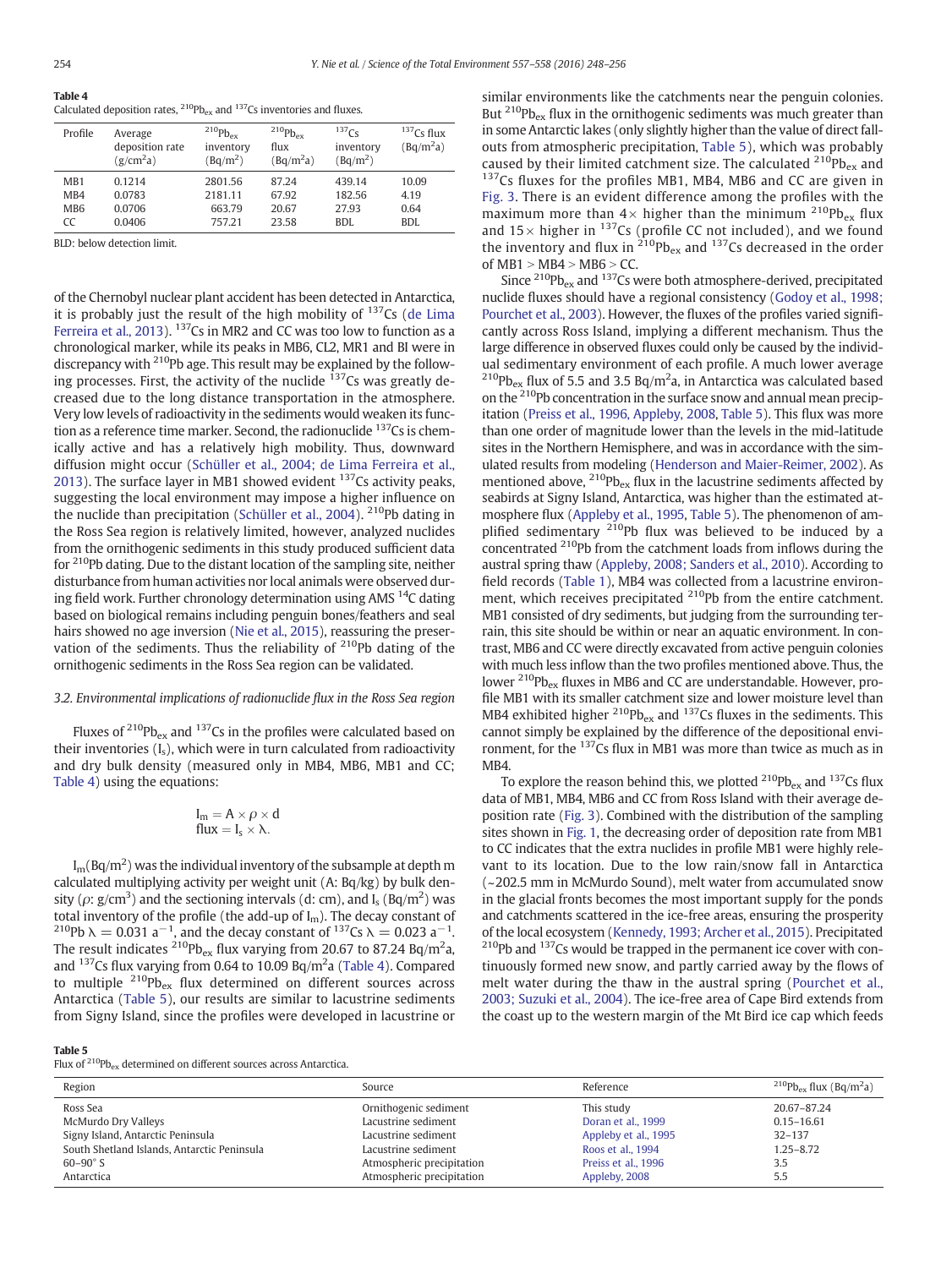<span id="page-6-0"></span>

| Table 4                                                                             |  |  |
|-------------------------------------------------------------------------------------|--|--|
| Calculated deposition rates, $^{210}Pb_{ex}$ and $^{137}Cs$ inventories and fluxes. |  |  |

| Profile                                          | Average<br>deposition rate<br>(g/cm <sup>2</sup> a) | $^{210}Pb_{\text{ex}}$<br>inventory<br>$(Bq/m^2)$ | $^{210}Pb_{\rm ex}$<br>flux<br>(Bq/m <sup>2</sup> a) | $137C_S$<br>inventory<br>$(Bq/m^2)$ | $137Cs$ flux<br>(Bq/m <sup>2</sup> a) |
|--------------------------------------------------|-----------------------------------------------------|---------------------------------------------------|------------------------------------------------------|-------------------------------------|---------------------------------------|
| MB1<br>M <sub>B</sub> 4<br>MB <sub>6</sub><br>CC | 0.1214<br>0.0783<br>0.0706<br>0.0406                | 2801.56<br>2181.11<br>663.79<br>757.21            | 87.24<br>67.92<br>20.67<br>23.58                     | 439.14<br>182.56<br>27.93<br>BDI.   | 10.09<br>4.19<br>0.64<br>BDI.         |

BLD: below detection limit.

of the Chernobyl nuclear plant accident has been detected in Antarctica, it is probably just the result of the high mobility of  $137Cs$  [\(de Lima](#page-8-0) [Ferreira et al., 2013](#page-8-0)). <sup>137</sup>Cs in MR2 and CC was too low to function as a chronological marker, while its peaks in MB6, CL2, MR1 and BI were in discrepancy with 210Pb age. This result may be explained by the following processes. First, the activity of the nuclide  $137$ Cs was greatly decreased due to the long distance transportation in the atmosphere. Very low levels of radioactivity in the sediments would weaken its function as a reference time marker. Second, the radionuclide <sup>137</sup>Cs is chemically active and has a relatively high mobility. Thus, downward diffusion might occur [\(Schüller et al., 2004; de Lima Ferreira et al.,](#page-8-0) [2013\)](#page-8-0). The surface layer in MB1 showed evident  $137$ Cs activity peaks, suggesting the local environment may impose a higher influence on the nuclide than precipitation ([Schüller et al., 2004](#page-8-0)). 210Pb dating in the Ross Sea region is relatively limited, however, analyzed nuclides from the ornithogenic sediments in this study produced sufficient data for 210Pb dating. Due to the distant location of the sampling site, neither disturbance from human activities nor local animals were observed during field work. Further chronology determination using AMS  $^{14}$ C dating based on biological remains including penguin bones/feathers and seal hairs showed no age inversion [\(Nie et al., 2015\)](#page-8-0), reassuring the preservation of the sediments. Thus the reliability of  $210Pb$  dating of the ornithogenic sediments in the Ross Sea region can be validated.

# 3.2. Environmental implications of radionuclide flux in the Ross Sea region

Fluxes of  $^{210}Pb_{ex}$  and  $^{137}Cs$  in the profiles were calculated based on their inventories  $(I_s)$ , which were in turn calculated from radioactivity and dry bulk density (measured only in MB4, MB6, MB1 and CC; Table 4) using the equations:

$$
\begin{array}{l} I_m = A \times \rho \times d \\ flux = I_s \times \lambda. \end{array}
$$

 $\rm I_m(Bq/m^2)$  was the individual inventory of the subsample at depth m calculated multiplying activity per weight unit (A: Bq/kg) by bulk density ( $\rho$ : g/cm<sup>3</sup>) and the sectioning intervals (d: cm), and I<sub>s</sub> (Bq/m<sup>2</sup>) was total inventory of the profile (the add-up of I<sub>m</sub>). The decay constant of <sup>110</sup>Pb  $\lambda = 0.023$  a<sup>-1</sup>, and the decay constant of <sup>137</sup>Cs  $\lambda = 0.023$  a<sup>-1</sup>. The result indicates  $^{210}$ Pb<sub>ex</sub> flux varying from 20.67 to 87.24 Bq/m<sup>2</sup>a, and  $^{137}$ Cs flux varying from 0.64 to 10.09 Bq/m<sup>2</sup>a (Table 4). Compared to multiple  $^{210}Pb_{ex}$  flux determined on different sources across Antarctica (Table 5), our results are similar to lacustrine sediments from Signy Island, since the profiles were developed in lacustrine or similar environments like the catchments near the penguin colonies. But  $^{210}Pb_{ex}$  flux in the ornithogenic sediments was much greater than in some Antarctic lakes (only slightly higher than the value of direct fallouts from atmospheric precipitation, Table 5), which was probably caused by their limited catchment size. The calculated  $^{210}Pb_{ex}$  and  $137Cs$  fluxes for the profiles MB1, MB4, MB6 and CC are given in [Fig. 3](#page-7-0). There is an evident difference among the profiles with the maximum more than  $4\times$  higher than the minimum  $^{210}Pb_{ex}$  flux and  $15\times$  higher in  $137$ Cs (profile CC not included), and we found the inventory and flux in  $^{210}Pb_{ex}$  and  $^{137}Cs$  decreased in the order of  $MB1 > MB4 > MB6 > CC$ .

Since  $^{210}Pb_{ex}$  and  $^{137}Cs$  were both atmosphere-derived, precipitated nuclide fluxes should have a regional consistency [\(Godoy et al., 1998;](#page-8-0) [Pourchet et al., 2003\)](#page-8-0). However, the fluxes of the profiles varied significantly across Ross Island, implying a different mechanism. Thus the large difference in observed fluxes could only be caused by the individual sedimentary environment of each profile. A much lower average <sup>210</sup>Pb<sub>ex</sub> flux of 5.5 and 3.5 Bq/m<sup>2</sup>a, in Antarctica was calculated based on the 210Pb concentration in the surface snow and annual mean precipitation ([Preiss et al., 1996, Appleby, 2008,](#page-8-0) Table 5). This flux was more than one order of magnitude lower than the levels in the mid-latitude sites in the Northern Hemisphere, and was in accordance with the simulated results from modeling [\(Henderson and Maier-Reimer, 2002\)](#page-8-0). As mentioned above,  $^{210}Pb_{ex}$  flux in the lacustrine sediments affected by seabirds at Signy Island, Antarctica, was higher than the estimated atmosphere flux ([Appleby et al., 1995](#page-8-0), Table 5). The phenomenon of amplified sedimentary <sup>210</sup>Pb flux was believed to be induced by a concentrated <sup>210</sup>Pb from the catchment loads from inflows during the austral spring thaw [\(Appleby, 2008; Sanders et al., 2010](#page-8-0)). According to field records ([Table 1](#page-2-0)), MB4 was collected from a lacustrine environment, which receives precipitated <sup>210</sup>Pb from the entire catchment. MB1 consisted of dry sediments, but judging from the surrounding terrain, this site should be within or near an aquatic environment. In contrast, MB6 and CC were directly excavated from active penguin colonies with much less inflow than the two profiles mentioned above. Thus, the lower  $^{210}Pb_{ex}$  fluxes in MB6 and CC are understandable. However, profile MB1 with its smaller catchment size and lower moisture level than MB4 exhibited higher  $^{210}Pb_{ex}$  and  $^{137}Cs$  fluxes in the sediments. This cannot simply be explained by the difference of the depositional environment, for the <sup>137</sup>Cs flux in MB1 was more than twice as much as in M<sub>R4</sub>

To explore the reason behind this, we plotted  $^{210}Pb_{ex}$  and  $^{137}Cs$  flux data of MB1, MB4, MB6 and CC from Ross Island with their average deposition rate [\(Fig. 3](#page-7-0)). Combined with the distribution of the sampling sites shown in [Fig. 1](#page-2-0), the decreasing order of deposition rate from MB1 to CC indicates that the extra nuclides in profile MB1 were highly relevant to its location. Due to the low rain/snow fall in Antarctica (~202.5 mm in McMurdo Sound), melt water from accumulated snow in the glacial fronts becomes the most important supply for the ponds and catchments scattered in the ice-free areas, ensuring the prosperity of the local ecosystem ([Kennedy, 1993; Archer et al., 2015](#page-8-0)). Precipitated  $210Pb$  and  $137Cs$  would be trapped in the permanent ice cover with continuously formed new snow, and partly carried away by the flows of melt water during the thaw in the austral spring ([Pourchet et al.,](#page-8-0) [2003; Suzuki et al., 2004\)](#page-8-0). The ice-free area of Cape Bird extends from the coast up to the western margin of the Mt Bird ice cap which feeds

### Table 5

Flux of  $^{210}Pb_{ex}$  determined on different sources across Antarctica.

| Region                                      | Source                    | Reference            | $^{210}Pb_{ex}$ flux (Bq/m <sup>2</sup> a) |
|---------------------------------------------|---------------------------|----------------------|--------------------------------------------|
| Ross Sea                                    | Ornithogenic sediment     | This study           | 20.67-87.24                                |
| McMurdo Dry Valleys                         | Lacustrine sediment       | Doran et al., 1999   | $0.15 - 16.61$                             |
| Signy Island, Antarctic Peninsula           | Lacustrine sediment       | Appleby et al., 1995 | $32 - 137$                                 |
| South Shetland Islands, Antarctic Peninsula | Lacustrine sediment       | Roos et al., 1994    | $1.25 - 8.72$                              |
| $60 - 90^\circ S$                           | Atmospheric precipitation | Preiss et al., 1996  | 3.5                                        |
| Antarctica                                  | Atmospheric precipitation | Appleby, 2008        | 5.5                                        |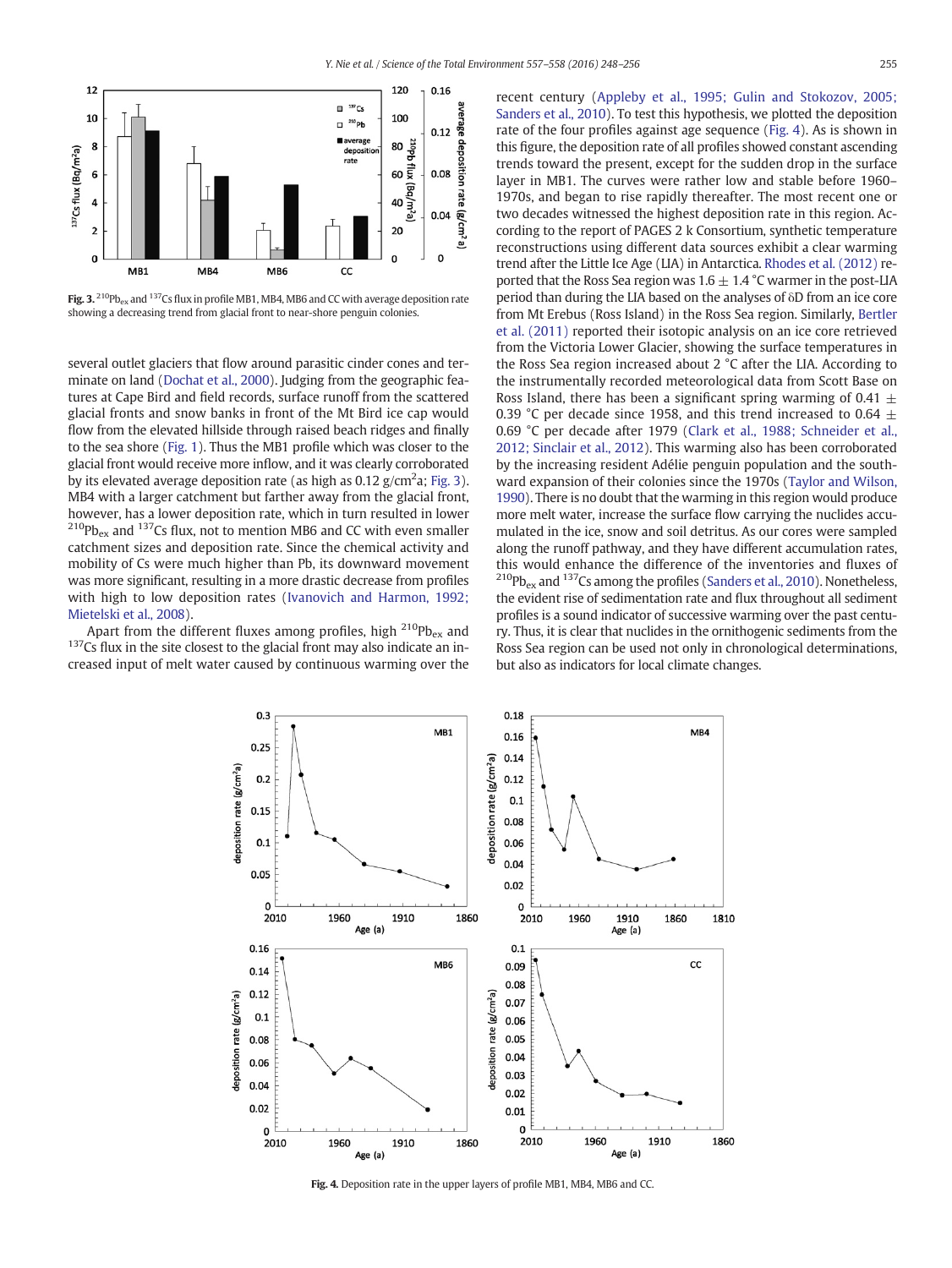<span id="page-7-0"></span>

Fig. 3.  $^{210}Pb_{ex}$  and  $^{137}Cs$  flux in profile MB1, MB4, MB6 and CC with average deposition rate showing a decreasing trend from glacial front to near-shore penguin colonies.

several outlet glaciers that flow around parasitic cinder cones and terminate on land [\(Dochat et al., 2000](#page-8-0)). Judging from the geographic features at Cape Bird and field records, surface runoff from the scattered glacial fronts and snow banks in front of the Mt Bird ice cap would flow from the elevated hillside through raised beach ridges and finally to the sea shore [\(Fig. 1\)](#page-2-0). Thus the MB1 profile which was closer to the glacial front would receive more inflow, and it was clearly corroborated by its elevated average deposition rate (as high as  $0.12$  g/cm<sup>2</sup>a; Fig. 3). MB4 with a larger catchment but farther away from the glacial front, however, has a lower deposition rate, which in turn resulted in lower  $^{210}Pb_{ex}$  and  $^{137}Cs$  flux, not to mention MB6 and CC with even smaller catchment sizes and deposition rate. Since the chemical activity and mobility of Cs were much higher than Pb, its downward movement was more significant, resulting in a more drastic decrease from profiles with high to low deposition rates ([Ivanovich and Harmon, 1992;](#page-8-0) [Mietelski et al., 2008\)](#page-8-0).<br>Apart from the different fluxes among profiles, high <sup>210</sup>Pb<sub>ex</sub> and

 $137$ Cs flux in the site closest to the glacial front may also indicate an increased input of melt water caused by continuous warming over the recent century ([Appleby et al., 1995; Gulin and Stokozov, 2005;](#page-8-0) [Sanders et al., 2010](#page-8-0)). To test this hypothesis, we plotted the deposition rate of the four profiles against age sequence (Fig. 4). As is shown in this figure, the deposition rate of all profiles showed constant ascending trends toward the present, except for the sudden drop in the surface layer in MB1. The curves were rather low and stable before 1960– 1970s, and began to rise rapidly thereafter. The most recent one or two decades witnessed the highest deposition rate in this region. According to the report of PAGES 2 k Consortium, synthetic temperature reconstructions using different data sources exhibit a clear warming trend after the Little Ice Age (LIA) in Antarctica. [Rhodes et al. \(2012\)](#page-8-0) reported that the Ross Sea region was  $1.6 \pm 1.4$  °C warmer in the post-LIA period than during the LIA based on the analyses of δD from an ice core from Mt Erebus (Ross Island) in the Ross Sea region. Similarly, [Bertler](#page-8-0) [et al. \(2011\)](#page-8-0) reported their isotopic analysis on an ice core retrieved from the Victoria Lower Glacier, showing the surface temperatures in the Ross Sea region increased about 2 °C after the LIA. According to the instrumentally recorded meteorological data from Scott Base on Ross Island, there has been a significant spring warming of 0.41  $\pm$ 0.39 °C per decade since 1958, and this trend increased to 0.64  $\pm$ 0.69 °C per decade after 1979 ([Clark et al., 1988; Schneider et al.,](#page-8-0) [2012; Sinclair et al., 2012\)](#page-8-0). This warming also has been corroborated by the increasing resident Adélie penguin population and the southward expansion of their colonies since the 1970s [\(Taylor and Wilson,](#page-8-0) [1990](#page-8-0)). There is no doubt that the warming in this region would produce more melt water, increase the surface flow carrying the nuclides accumulated in the ice, snow and soil detritus. As our cores were sampled along the runoff pathway, and they have different accumulation rates, this would enhance the difference of the inventories and fluxes of  $^{210}Pb_{ex}$  and  $^{137}Cs$  among the profiles ([Sanders et al., 2010\)](#page-8-0). Nonetheless, the evident rise of sedimentation rate and flux throughout all sediment profiles is a sound indicator of successive warming over the past century. Thus, it is clear that nuclides in the ornithogenic sediments from the Ross Sea region can be used not only in chronological determinations, but also as indicators for local climate changes.



Fig. 4. Deposition rate in the upper layers of profile MB1, MB4, MB6 and CC.